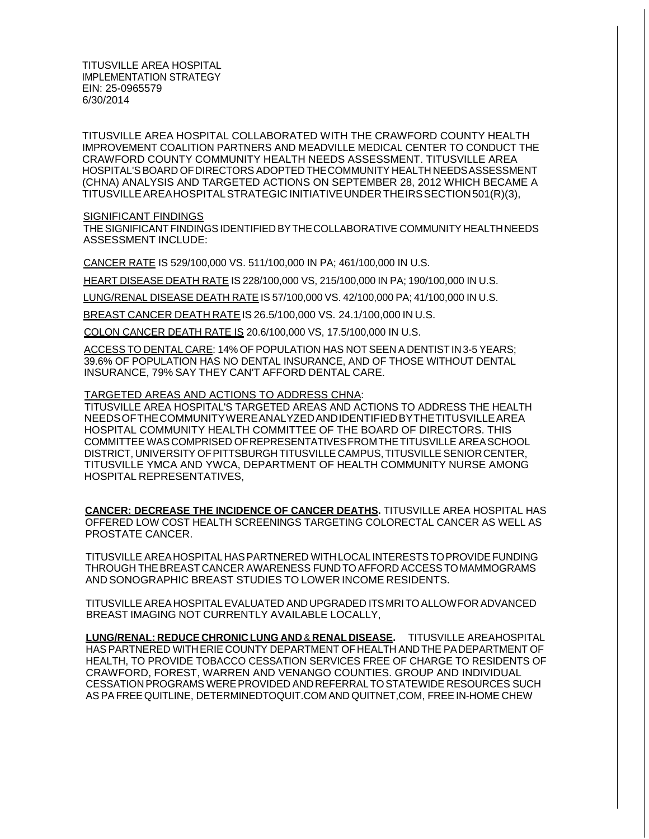TITUSVILLE AREA HOSPITAL IMPLEMENTATION STRATEGY EIN: 25-0965579 6/30/2014

TITUSVILLE AREA HOSPITAL COLLABORATED WITH THE CRAWFORD COUNTY HEALTH IMPROVEMENT COALITION PARTNERS AND MEADVILLE MEDICAL CENTER TO CONDUCT THE CRAWFORD COUNTY COMMUNITY HEALTH NEEDS ASSESSMENT. TITUSVILLE AREA HOSPITAL'SBOARD OFDIRECTORS ADOPTED THECOMMUNITY HEALTH NEEDSASSESSMENT (CHNA) ANALYSIS AND TARGETED ACTIONS ON SEPTEMBER 28, 2012 WHICH BECAME A TITUSVILLEAREAHOSPITALSTRATEGIC INITIATIVEUNDERTHEIRSSECTION501(R)(3),

SIGNIFICANT FINDINGS

THESIGNIFICANT FINDINGSIDENTIFIED BYTHECOLLABORATIVE COMMUNITY HEALTHNEEDS ASSESSMENT INCLUDE:

CANCER RATE IS 529/100,000 VS. 511/100,000 IN PA; 461/100,000 IN U.S.

HEART DISEASE DEATH RATE IS 228/100,000 VS, 215/100,000 IN PA; 190/100,000 IN U.S.

LUNG/RENAL DISEASE DEATH RATE IS 57/100,000 VS. 42/100,000 PA; 41/100,000 IN U.S.

BREAST CANCER DEATH RATE IS 26.5/100,000 VS. 24.1/100,000 IN U.S.

COLON CANCER DEATH RATE IS 20.6/100,000 VS, 17.5/100,000 IN U.S.

ACCESS TO DENTAL CARE: 14% OF POPULATION HAS NOT SEEN A DENTIST IN 3-5 YEARS; 39.6% OF POPULATION HAS NO DENTAL INSURANCE, AND OF THOSE WITHOUT DENTAL INSURANCE, 79% SAY THEY CAN'T AFFORD DENTAL CARE.

## TARGETED AREAS AND ACTIONS TO ADDRESS CHNA:

TITUSVILLE AREA HOSPITAL'S TARGETED AREAS AND ACTIONS TO ADDRESS THE HEALTH NEEDSOFTHECOMMUNITYWEREANALYZEDANDIDENTIFIEDBYTHETITUSVILLEAREA HOSPITAL COMMUNITY HEALTH COMMITTEE OF THE BOARD OF DIRECTORS. THIS COMMITTEE WAS COMPRISED OFREPRESENTATIVESFROMTHETITUSVILLE AREASCHOOL DISTRICT, UNIVERSITY OFPITTSBURGH TITUSVILLE CAMPUS,TITUSVILLE SENIORCENTER, TITUSVILLE YMCA AND YWCA, DEPARTMENT OF HEALTH COMMUNITY NURSE AMONG HOSPITAL REPRESENTATIVES,

**CANCER: DECREASE THE INCIDENCE OF CANCER DEATHS.** TITUSVILLE AREA HOSPITAL HAS OFFERED LOW COST HEALTH SCREENINGS TARGETING COLORECTAL CANCER AS WELL AS PROSTATE CANCER.

TITUSVILLE AREAHOSPITAL HASPARTNERED WITHLOCALINTERESTSTOPROVIDEFUNDING THROUGH THEBREAST CANCER AWARENESS FUNDTOAFFORD ACCESS TOMAMMOGRAMS AND SONOGRAPHIC BREAST STUDIES TO LOWER INCOME RESIDENTS.

TITUSVILLE AREA HOSPITALEVALUATED AND UPGRADED ITSMRITO ALLOWFOR ADVANCED BREAST IMAGING NOT CURRENTLY AVAILABLE LOCALLY,

**LUNG/RENAL: REDUCE CHRONIC LUNG AND** & **RENAL DISEASE.** TITUSVILLE AREAHOSPITAL HAS PARTNERED WITHERIE COUNTY DEPARTMENT OFHEALTH AND THE PADEPARTMENT OF HEALTH, TO PROVIDE TOBACCO CESSATION SERVICES FREE OF CHARGE TO RESIDENTS OF CRAWFORD, FOREST, WARREN AND VENANGO COUNTIES. GROUP AND INDIVIDUAL CESSATION PROGRAMS WEREPROVIDED ANDREFERRALTOSTATEWIDE RESOURCES SUCH AS PAFREEQUITLINE, DETERMINEDTOQUIT.COM AND QUITNET,COM, FREEIN-HOME CHEW